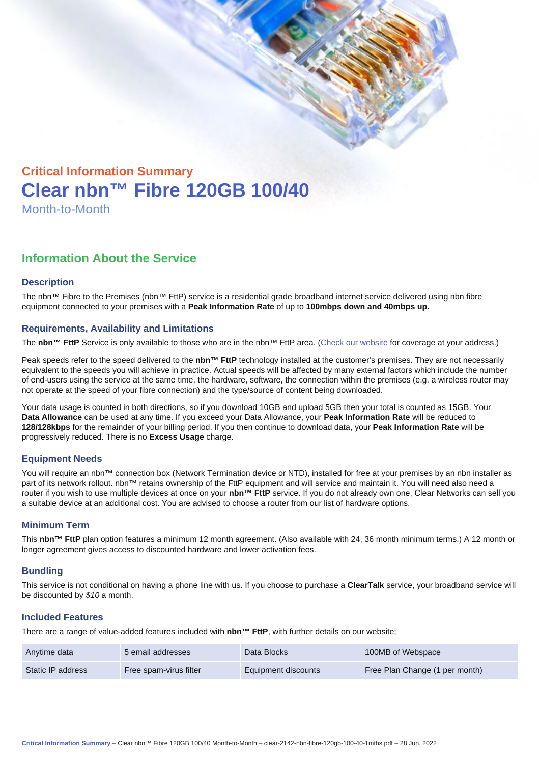# Critical Information Summary Clear nbn™ Fibre 120GB 100/40 Month-to-Month

## Information About the Service

#### **Description**

The nbn™ Fibre to the Premises (nbn™ FttP) service is a residential grade broadband internet service delivered using nbn fibre equipment connected to your premises with a Peak Information Rate of up to 100mbps down and 40mbps up.

#### Requirements, Availability and Limitations

The nbn™ FttP Service is only available to those who are in the nbn™ FttP area. ([Check our website](https://www.clear.com.au/business/nbn-fixed/) for coverage at your address.)

Peak speeds refer to the speed delivered to the nbn™ FttP technology installed at the customer's premises. They are not necessarily equivalent to the speeds you will achieve in practice. Actual speeds will be affected by many external factors which include the number of end-users using the service at the same time, the hardware, software, the connection within the premises (e.g. a wireless router may not operate at the speed of your fibre connection) and the type/source of content being downloaded.

Your data usage is counted in both directions, so if you download 10GB and upload 5GB then your total is counted as 15GB. Your Data Allowance can be used at any time. If you exceed your Data Allowance, your Peak Information Rate will be reduced to 128/128kbps for the remainder of your billing period. If you then continue to download data, your Peak Information Rate will be progressively reduced. There is no Excess Usage charge.

#### Equipment Needs

You will require an nbn™ connection box (Network Termination device or NTD), installed for free at your premises by an nbn installer as part of its network rollout. nbn™ retains ownership of the FttP equipment and will service and maintain it. You will need also need a router if you wish to use multiple devices at once on your nbn™ FttP service. If you do not already own one, Clear Networks can sell you a suitable device at an additional cost. You are advised to choose a router from our list of hardware options.

#### Minimum Term

This nbn™ FttP plan option features a minimum 12 month agreement. (Also available with 24, 36 month minimum terms.) A 12 month or longer agreement gives access to discounted hardware and lower activation fees.

#### **Bundling**

This service is not conditional on having a phone line with us. If you choose to purchase a ClearTalk service, your broadband service will be discounted by \$10 a month.

#### Included Features

There are a range of value-added features included with nbn™ FttP , with further details on our website;

| Anytime data      | 5 email addresses      | Data Blocks         | 100MB of Webspace              |
|-------------------|------------------------|---------------------|--------------------------------|
| Static IP address | Free spam-virus filter | Equipment discounts | Free Plan Change (1 per month) |